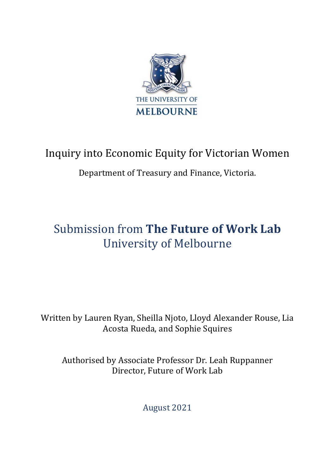

## Inquiry into Economic Equity for Victorian Women

### Department of Treasury and Finance, Victoria.

# Submission from **The Future of Work Lab** University of Melbourne

Written by Lauren Ryan, Sheilla Njoto, Lloyd Alexander Rouse, Lia Acosta Rueda, and Sophie Squires

Authorised by Associate Professor Dr. Leah Ruppanner Director, Future of Work Lab

August 2021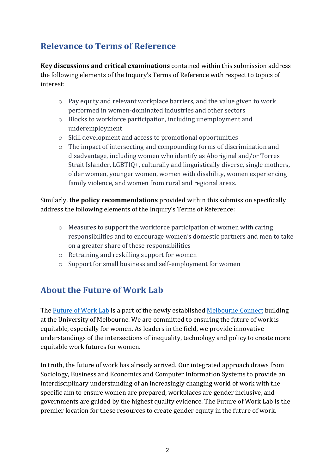### **Relevance to Terms of Reference**

**Key discussions and critical examinations** contained within this submission address the following elements of the Inquiry's Terms of Reference with respect to topics of interest:

- o Pay equity and relevant workplace barriers, and the value given to work performed in women-dominated industries and other sectors
- o Blocks to workforce participation, including unemployment and underemployment
- o Skill development and access to promotional opportunities
- o The impact of intersecting and compounding forms of discrimination and disadvantage, including women who identify as Aboriginal and/or Torres Strait Islander, LGBTIQ+, culturally and linguistically diverse, single mothers, older women, younger women, women with disability, women experiencing family violence, and women from rural and regional areas.

Similarly, **the policy recommendations** provided within this submission specifically address the following elements of the Inquiry's Terms of Reference:

- $\circ$  Measures to support the workforce participation of women with caring responsibilities and to encourage women's domestic partners and men to take on a greater share of these responsibilities
- o Retraining and reskilling support for women
- o Support for small business and self-employment for women

### **About the Future of Work Lab**

The [Future of Work Lab](https://futureofwork.unimelb.edu.au/) is a part of the newly established [Melbourne Connect](https://melbconnect.com.au/) building at the University of Melbourne. We are committed to ensuring the future of work is equitable, especially for women. As leaders in the field, we provide innovative understandings of the intersections of inequality, technology and policy to create more equitable work futures for women.

In truth, the future of work has already arrived. Our integrated approach draws from Sociology, Business and Economics and Computer Information Systems to provide an interdisciplinary understanding of an increasingly changing world of work with the specific aim to ensure women are prepared, workplaces are gender inclusive, and governments are guided by the highest quality evidence. The Future of Work Lab is the premier location for these resources to create gender equity in the future of work.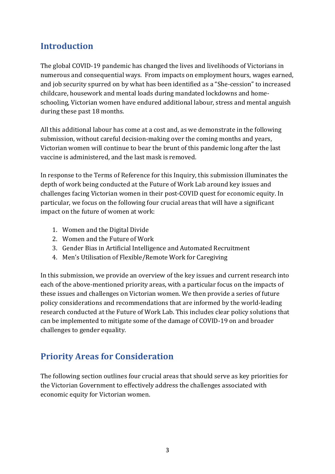### **Introduction**

The global COVID-19 pandemic has changed the lives and livelihoods of Victorians in numerous and consequential ways. From impacts on employment hours, wages earned, and job security spurred on by what has been identified as a "She-cession" to increased childcare, housework and mental loads during mandated lockdowns and homeschooling, Victorian women have endured additional labour, stress and mental anguish during these past 18 months.

All this additional labour has come at a cost and, as we demonstrate in the following submission, without careful decision-making over the coming months and years, Victorian women will continue to bear the brunt of this pandemic long after the last vaccine is administered, and the last mask is removed.

In response to the Terms of Reference for this Inquiry, this submission illuminates the depth of work being conducted at the Future of Work Lab around key issues and challenges facing Victorian women in their post-COVID quest for economic equity. In particular, we focus on the following four crucial areas that will have a significant impact on the future of women at work:

- 1. Women and the Digital Divide
- 2. Women and the Future of Work
- 3. Gender Bias in Artificial Intelligence and Automated Recruitment
- 4. Men's Utilisation of Flexible/Remote Work for Caregiving

In this submission, we provide an overview of the key issues and current research into each of the above-mentioned priority areas, with a particular focus on the impacts of these issues and challenges on Victorian women. We then provide a series of future policy considerations and recommendations that are informed by the world-leading research conducted at the Future of Work Lab. This includes clear policy solutions that can be implemented to mitigate some of the damage of COVID-19 on and broader challenges to gender equality.

### **Priority Areas for Consideration**

The following section outlines four crucial areas that should serve as key priorities for the Victorian Government to effectively address the challenges associated with economic equity for Victorian women.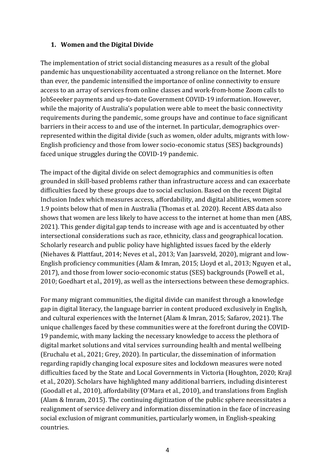#### **1. Women and the Digital Divide**

The implementation of strict social distancing measures as a result of the global pandemic has unquestionability accentuated a strong reliance on the Internet. More than ever, the pandemic intensified the importance of online connectivity to ensure access to an array of services from online classes and work-from-home Zoom calls to JobSeeeker payments and up-to-date Government COVID-19 information. However, while the majority of Australia's population were able to meet the basic connectivity requirements during the pandemic, some groups have and continue to face significant barriers in their access to and use of the internet. In particular, demographics overrepresented within the digital divide (such as women, older adults, migrants with low-English proficiency and those from lower socio-economic status (SES) backgrounds) faced unique struggles during the COVID-19 pandemic.

The impact of the digital divide on select demographics and communities is often grounded in skill-based problems rather than infrastructure access and can exacerbate difficulties faced by these groups due to social exclusion. Based on the recent Digital Inclusion Index which measures access, affordability, and digital abilities, women score 1.9 points below that of men in Australia (Thomas et al. 2020). Recent ABS data also shows that women are less likely to have access to the internet at home than men (ABS, 2021). This gender digital gap tends to increase with age and is accentuated by other intersectional considerations such as race, ethnicity, class and geographical location. Scholarly research and public policy have highlighted issues faced by the elderly (Niehaves & Plattfaut, 2014; Neves et al., 2013; Van Jaarsveld, 2020), migrant and low-English proficiency communities (Alam & Imran, 2015; Lloyd et al., 2013; Nguyen et al., 2017), and those from lower socio-economic status (SES) backgrounds (Powell et al., 2010; Goedhart et al., 2019), as well as the intersections between these demographics.

For many migrant communities, the digital divide can manifest through a knowledge gap in digital literacy, the language barrier in content produced exclusively in English, and cultural experiences with the Internet (Alam & Imran, 2015; Safarov, 2021). The unique challenges faced by these communities were at the forefront during the COVID-19 pandemic, with many lacking the necessary knowledge to access the plethora of digital market solutions and vital services surrounding health and mental wellbeing (Eruchalu et al., 2021; Grey, 2020). In particular, the dissemination of information regarding rapidly changing local exposure sites and lockdown measures were noted difficulties faced by the State and Local Governments in Victoria (Houghton, 2020; Krajl et al., 2020). Scholars have highlighted many additional barriers, including disinterest (Goodall et al., 2010), affordability (O'Mara et al., 2010), and translations from English (Alam & Imram, 2015). The continuing digitization of the public sphere necessitates a realignment of service delivery and information dissemination in the face of increasing social exclusion of migrant communities, particularly women, in English-speaking countries.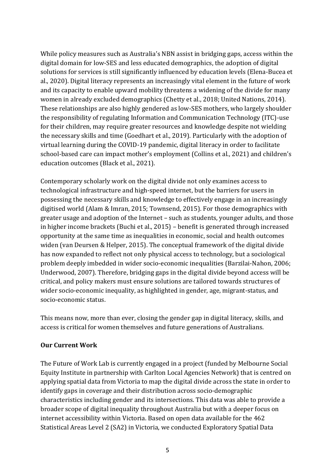While policy measures such as Australia's NBN assist in bridging gaps, access within the digital domain for low-SES and less educated demographics, the adoption of digital solutions for services is still significantly influenced by education levels (Elena-Bucea et al., 2020). Digital literacy represents an increasingly vital element in the future of work and its capacity to enable upward mobility threatens a widening of the divide for many women in already excluded demographics (Chetty et al., 2018; United Nations, 2014). These relationships are also highly gendered as low-SES mothers, who largely shoulder the responsibility of regulating Information and Communication Technology (ITC)-use for their children, may require greater resources and knowledge despite not wielding the necessary skills and time (Goedhart et al., 2019). Particularly with the adoption of virtual learning during the COVID-19 pandemic, digital literacy in order to facilitate school-based care can impact mother's employment (Collins et al., 2021) and children's education outcomes (Black et al., 2021).

Contemporary scholarly work on the digital divide not only examines access to technological infrastructure and high-speed internet, but the barriers for users in possessing the necessary skills and knowledge to effectively engage in an increasingly digitised world (Alam & Imran, 2015; Townsend, 2015). For those demographics with greater usage and adoption of the Internet – such as students, younger adults, and those in higher income brackets (Buchi et al., 2015) – benefit is generated through increased opportunity at the same time as inequalities in economic, social and health outcomes widen (van Deursen & Helper, 2015). The conceptual framework of the digital divide has now expanded to reflect not only physical access to technology, but a sociological problem deeply imbedded in wider socio-economic inequalities (Barzilai-Nahon, 2006; Underwood, 2007). Therefore, bridging gaps in the digital divide beyond access will be critical, and policy makers must ensure solutions are tailored towards structures of wider socio-economic inequality, as highlighted in gender, age, migrant-status, and socio-economic status.

This means now, more than ever, closing the gender gap in digital literacy, skills, and access is critical for women themselves and future generations of Australians.

#### **Our Current Work**

The Future of Work Lab is currently engaged in a project (funded by Melbourne Social Equity Institute in partnership with Carlton Local Agencies Network) that is centred on applying spatial data from Victoria to map the digital divide across the state in order to identify gaps in coverage and their distribution across socio-demographic characteristics including gender and its intersections. This data was able to provide a broader scope of digital inequality throughout Australia but with a deeper focus on internet accessibility within Victoria. Based on open data available for the 462 Statistical Areas Level 2 (SA2) in Victoria, we conducted Exploratory Spatial Data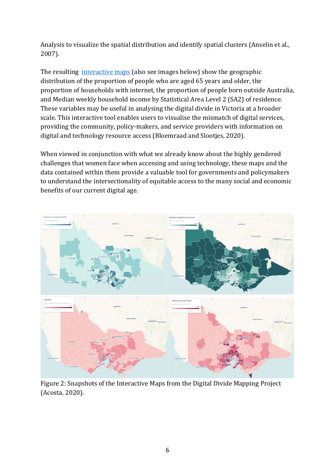Analysis to visualize the spatial distribution and identify spatial clusters (Anselin et al., 2007).

The resulting *[interactive maps](https://lia-acosta.carto.com/builder/138b6d61-e492-405e-a051-a2245eb6ca43/embed)* (also see images below) show the geographic distribution of the proportion of people who are aged 65 years and older, the proportion of households with internet, the proportion of people born outside Australia, and Median weekly household income by Statistical Area Level 2 (SA2) of residence. These variables may be useful in analysing the digital divide in Victoria at a broader scale. This interactive tool enables users to visualise the mismatch of digital services, providing the community, policy-makers, and service providers with information on digital and technology resource access (Bloemraad and Slootjes, 2020).

When viewed in conjunction with what we already know about the highly gendered challenges that women face when accessing and using technology, these maps and the data contained within them provide a valuable tool for governments and policymakers to understand the intersectionality of equitable access to the many social and economic benefits of our current digital age.



Figure 2: Snapshots of the Interactive Maps from the Digital Divide Mapping Project (Acosta, 2020).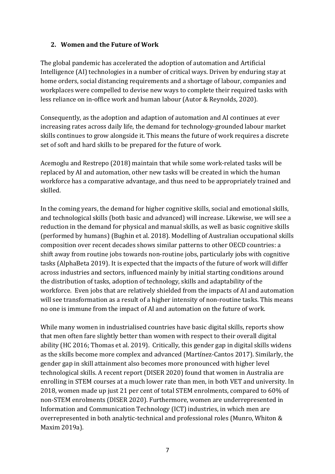#### **2. Women and the Future of Work**

The global pandemic has accelerated the adoption of automation and Artificial Intelligence (AI) technologies in a number of critical ways. Driven by enduring stay at home orders, social distancing requirements and a shortage of labour, companies and workplaces were compelled to devise new ways to complete their required tasks with less reliance on in-office work and human labour (Autor & Reynolds, 2020).

Consequently, as the adoption and adaption of automation and AI continues at ever increasing rates across daily life, the demand for technology-grounded labour market skills continues to grow alongside it. This means the future of work requires a discrete set of soft and hard skills to be prepared for the future of work.

Acemoglu and Restrepo (2018) maintain that while some work-related tasks will be replaced by AI and automation, other new tasks will be created in which the human workforce has a comparative advantage, and thus need to be appropriately trained and skilled.

In the coming years, the demand for higher cognitive skills, social and emotional skills, and technological skills (both basic and advanced) will increase. Likewise, we will see a reduction in the demand for physical and manual skills, as well as basic cognitive skills (performed by humans) (Bughin et al. 2018). Modelling of Australian occupational skills composition over recent decades shows similar patterns to other OECD countries: a shift away from routine jobs towards non-routine jobs, particularly jobs with cognitive tasks (AlphaBeta 2019). It is expected that the impacts of the future of work will differ across industries and sectors, influenced mainly by initial starting conditions around the distribution of tasks, adoption of technology, skills and adaptability of the workforce. Even jobs that are relatively shielded from the impacts of AI and automation will see transformation as a result of a higher intensity of non-routine tasks. This means no one is immune from the impact of AI and automation on the future of work.

While many women in industrialised countries have basic digital skills, reports show that men often fare slightly better than women with respect to their overall digital ability (HC 2016; Thomas et al. 2019). Critically, this gender gap in digital skills widens as the skills become more complex and advanced (Martínez-Cantos 2017). Similarly, the gender gap in skill attainment also becomes more pronounced with higher level technological skills. A recent report (DISER 2020) found that women in Australia are enrolling in STEM courses at a much lower rate than men, in both VET and university. In 2018, women made up just 21 per cent of total STEM enrolments, compared to 60% of non-STEM enrolments (DISER 2020). Furthermore, women are underrepresented in Information and Communication Technology (ICT) industries, in which men are overrepresented in both analytic-technical and professional roles (Munro, Whiton & Maxim 2019a).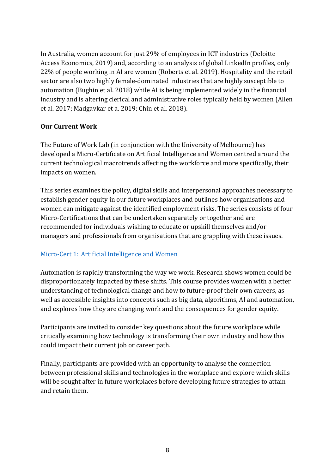In Australia, women account for just 29% of employees in ICT industries (Deloitte Access Economics, 2019) and, according to an analysis of global LinkedIn profiles, only 22% of people working in AI are women (Roberts et al. 2019). Hospitality and the retail sector are also two highly female-dominated industries that are highly susceptible to automation (Bughin et al. 2018) while AI is being implemented widely in the financial industry and is altering clerical and administrative roles typically held by women (Allen et al. 2017; Madgavkar et a. 2019; Chin et al. 2018).

#### **Our Current Work**

The Future of Work Lab (in conjunction with the University of Melbourne) has developed a Micro-Certificate on Artificial Intelligence and Women centred around the current technological macrotrends affecting the workforce and more specifically, their impacts on women.

This series examines the policy, digital skills and interpersonal approaches necessary to establish gender equity in our future workplaces and outlines how organisations and women can mitigate against the identified employment risks. The series consists of four Micro-Certifications that can be undertaken separately or together and are recommended for individuals wishing to educate or upskill themselves and/or managers and professionals from organisations that are grappling with these issues.

#### [Micro-Cert 1: Artificial Intelligence and Women](https://study.unimelb.edu.au/find/microcredentials/artificial-intelligence-and-women/)

Automation is rapidly transforming the way we work. Research shows women could be disproportionately impacted by these shifts. This course provides women with a better understanding of technological change and how to future-proof their own careers, as well as accessible insights into concepts such as big data, algorithms, AI and automation, and explores how they are changing work and the consequences for gender equity.

Participants are invited to consider key questions about the future workplace while critically examining how technology is transforming their own industry and how this could impact their current job or career path.

Finally, participants are provided with an opportunity to analyse the connection between professional skills and technologies in the workplace and explore which skills will be sought after in future workplaces before developing future strategies to attain and retain them.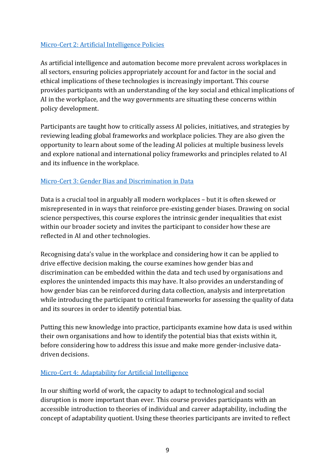#### [Micro-Cert 2: Artificial Intelligence Policies](https://study.unimelb.edu.au/find/microcredentials/artificial-intelligence-policies/)

As artificial intelligence and automation become more prevalent across workplaces in all sectors, ensuring policies appropriately account for and factor in the social and ethical implications of these technologies is increasingly important. This course provides participants with an understanding of the key social and ethical implications of AI in the workplace, and the way governments are situating these concerns within policy development.

Participants are taught how to critically assess AI policies, initiatives, and strategies by reviewing leading global frameworks and workplace policies. They are also given the opportunity to learn about some of the leading AI policies at multiple business levels and explore national and international policy frameworks and principles related to AI and its influence in the workplace.

#### [Micro-Cert 3: Gender Bias and Discrimination in Data](https://study.unimelb.edu.au/find/microcredentials/gender-bias-and-discrimination-in-data/)

Data is a crucial tool in arguably all modern workplaces – but it is often skewed or misrepresented in in ways that reinforce pre-existing gender biases. Drawing on social science perspectives, this course explores the intrinsic gender inequalities that exist within our broader society and invites the participant to consider how these are reflected in AI and other technologies.

Recognising data's value in the workplace and considering how it can be applied to drive effective decision making, the course examines how gender bias and discrimination can be embedded within the data and tech used by organisations and explores the unintended impacts this may have. It also provides an understanding of how gender bias can be reinforced during data collection, analysis and interpretation while introducing the participant to critical frameworks for assessing the quality of data and its sources in order to identify potential bias.

Putting this new knowledge into practice, participants examine how data is used within their own organisations and how to identify the potential bias that exists within it, before considering how to address this issue and make more gender-inclusive datadriven decisions.

#### [Micro-Cert 4: Adaptability for Artificial Intelligence](https://study.unimelb.edu.au/find/microcredentials/adaptability-for-artificial-intelligence/)

In our shifting world of work, the capacity to adapt to technological and social disruption is more important than ever. This course provides participants with an accessible introduction to theories of individual and career adaptability, including the concept of adaptability quotient. Using these theories participants are invited to reflect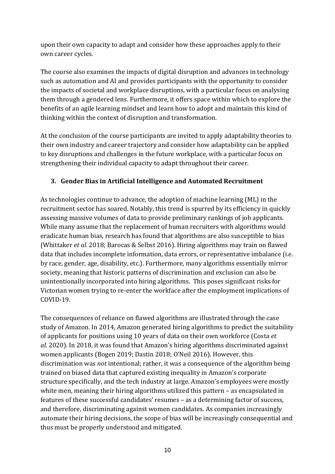upon their own capacity to adapt and consider how these approaches apply to their own career cycles.

The course also examines the impacts of digital disruption and advances in technology such as automation and AI and provides participants with the opportunity to consider the impacts of societal and workplace disruptions, with a particular focus on analysing them through a gendered lens. Furthermore, it offers space within which to explore the benefits of an agile learning mindset and learn how to adopt and maintain this kind of thinking within the context of disruption and transformation.

At the conclusion of the course participants are invited to apply adaptability theories to their own industry and career trajectory and consider how adaptability can be applied to key disruptions and challenges in the future workplace, with a particular focus on strengthening their individual capacity to adapt throughout their career.

#### **3. Gender Bias in Artificial Intelligence and Automated Recruitment**

As technologies continue to advance, the adoption of machine learning (ML) in the recruitment sector has soared. Notably, this trend is spurred by its efficiency in quickly assessing massive volumes of data to provide preliminary rankings of job applicants. While many assume that the replacement of human recruiters with algorithms would eradicate human bias, research has found that algorithms are also susceptible to bias (Whittaker *et al.* 2018; Barocas & Selbst 2016). Hiring algorithms may train on flawed data that includes incomplete information, data errors, or representative imbalance (i.e. by race, gender, age, disability, etc.). Furthermore, many algorithms essentially mirror society, meaning that historic patterns of discrimination and exclusion can also be unintentionally incorporated into hiring algorithms. This poses significant risks for Victorian women trying to re-enter the workface after the employment implications of COVID-19.

The consequences of reliance on flawed algorithms are illustrated through the case study of Amazon. In 2014, Amazon generated hiring algorithms to predict the suitability of applicants for positions using 10 years of data on their own workforce (Costa *et al.* 2020). In 2018, it was found that Amazon's hiring algorithms discriminated against women applicants (Bogen 2019; Dastin 2018; O'Neil 2016). However, this discrimination was *not* intentional; rather, it was a consequence of the algorithm being trained on biased data that captured existing inequality in Amazon's corporate structure specifically, and the tech industry at large. Amazon's employees were mostly white men, meaning their hiring algorithms utilized this pattern – as encapsulated in features of these successful candidates' resumes – as a determining factor of success, and therefore, discriminating against women candidates. As companies increasingly automate their hiring decisions, the scope of bias will be increasingly consequential and thus must be properly understood and mitigated.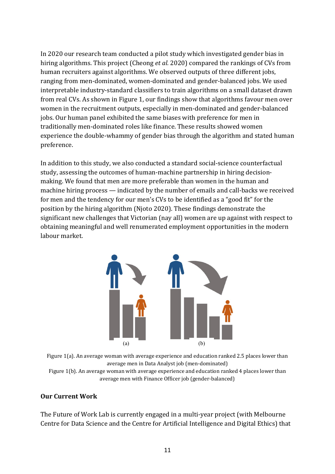In 2020 our research team conducted a pilot study which investigated gender bias in hiring algorithms. This project (Cheong *et al.* 2020) compared the rankings of CVs from human recruiters against algorithms. We observed outputs of three different jobs, ranging from men-dominated, women-dominated and gender-balanced jobs. We used interpretable industry-standard classifiers to train algorithms on a small dataset drawn from real CVs. As shown in Figure 1, our findings show that algorithms favour men over women in the recruitment outputs, especially in men-dominated and gender-balanced jobs. Our human panel exhibited the same biases with preference for men in traditionally men-dominated roles like finance. These results showed women experience the double-whammy of gender bias through the algorithm and stated human preference.

In addition to this study, we also conducted a standard social-science counterfactual study, assessing the outcomes of human-machine partnership in hiring decisionmaking. We found that men are more preferable than women in the human and machine hiring process — indicated by the number of emails and call-backs we received for men and the tendency for our men's CVs to be identified as a "good fit" for the position by the hiring algorithm (Njoto 2020). These findings demonstrate the significant new challenges that Victorian (nay all) women are up against with respect to obtaining meaningful and well renumerated employment opportunities in the modern labour market.



Figure 1(a). An average woman with average experience and education ranked 2.5 places lower than average men in Data Analyst job (men-dominated)

Figure 1(b). An average woman with average experience and education ranked 4 places lower than average men with Finance Officer job (gender-balanced)

#### **Our Current Work**

The Future of Work Lab is currently engaged in a multi-year project (with Melbourne Centre for Data Science and the Centre for Artificial Intelligence and Digital Ethics) that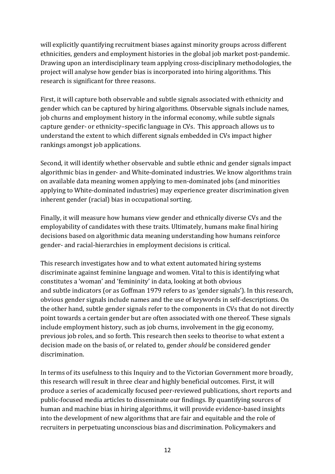will explicitly quantifying recruitment biases against minority groups across different ethnicities, genders and employment histories in the global job market post-pandemic. Drawing upon an interdisciplinary team applying cross-disciplinary methodologies, the project will analyse how gender bias is incorporated into hiring algorithms. This research is significant for three reasons.

First, it will capture both observable and subtle signals associated with ethnicity and gender which can be captured by hiring algorithms. Observable signals include names, job churns and employment history in the informal economy, while subtle signals capture gender- or ethnicity–specific language in CVs. This approach allows us to understand the extent to which different signals embedded in CVs impact higher rankings amongst job applications.

Second, it will identify whether observable and subtle ethnic and gender signals impact algorithmic bias in gender- and White-dominated industries. We know algorithms train on available data meaning women applying to men-dominated jobs (and minorities applying to White-dominated industries) may experience greater discrimination given inherent gender (racial) bias in occupational sorting.

Finally, it will measure how humans view gender and ethnically diverse CVs and the employability of candidates with these traits. Ultimately, humans make final hiring decisions based on algorithmic data meaning understanding how humans reinforce gender- and racial-hierarchies in employment decisions is critical.

This research investigates how and to what extent automated hiring systems discriminate against feminine language and women. Vital to this is identifying what constitutes a 'woman' and 'femininity' in data, looking at both obvious and subtle indicators (or as Goffman 1979 refers to as 'gender signals'). In this research, obvious gender signals include names and the use of keywords in self-descriptions. On the other hand, subtle gender signals refer to the components in CVs that do not directly point towards a certain gender but are often associated with one thereof. These signals include employment history, such as job churns, involvement in the gig economy, previous job roles, and so forth. This research then seeks to theorise to what extent a decision made on the basis of, or related to, gender *should* be considered gender discrimination.

In terms of its usefulness to this Inquiry and to the Victorian Government more broadly, this research will result in three clear and highly beneficial outcomes. First, it will produce a series of academically focused peer-reviewed publications, short reports and public-focused media articles to disseminate our findings. By quantifying sources of human and machine bias in hiring algorithms, it will provide evidence-based insights into the development of new algorithms that are fair and equitable and the role of recruiters in perpetuating unconscious bias and discrimination. Policymakers and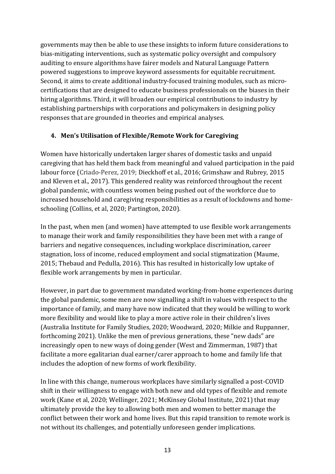governments may then be able to use these insights to inform future considerations to bias-mitigating interventions, such as systematic policy oversight and compulsory auditing to ensure algorithms have fairer models and Natural Language Pattern powered suggestions to improve keyword assessments for equitable recruitment. Second, it aims to create additional industry-focused training modules, such as microcertifications that are designed to educate business professionals on the biases in their hiring algorithms. Third, it will broaden our empirical contributions to industry by establishing partnerships with corporations and policymakers in designing policy responses that are grounded in theories and empirical analyses.

#### **4. Men's Utilisation of Flexible/Remote Work for Caregiving**

Women have historically undertaken larger shares of domestic tasks and unpaid caregiving that has held them back from meaningful and valued participation in the paid labour force (Criado-Perez, 2019; Dieckhoff et al., 2016; Grimshaw and Rubrey, 2015 and Kleven et al., 2017). This gendered reality was reinforced throughout the recent global pandemic, with countless women being pushed out of the workforce due to increased household and caregiving responsibilities as a result of lockdowns and homeschooling (Collins, et al, 2020; Partington, 2020).

In the past, when men (and women) have attempted to use flexible work arrangements to manage their work and family responsibilities they have been met with a range of barriers and negative consequences, including workplace discrimination, career stagnation, loss of income, reduced employment and social stigmatization (Maume, 2015; Thebaud and Pedulla, 2016). This has resulted in historically low uptake of flexible work arrangements by men in particular.

However, in part due to government mandated working-from-home experiences during the global pandemic, some men are now signalling a shift in values with respect to the importance of family, and many have now indicated that they would be willing to work more flexibility and would like to play a more active role in their children's lives (Australia Institute for Family Studies, 2020; Woodward, 2020; Milkie and Ruppanner, forthcoming 2021). Unlike the men of previous generations, these "new dads" are increasingly open to new ways of doing gender (West and Zimmerman, 1987) that facilitate a more egalitarian dual earner/carer approach to home and family life that includes the adoption of new forms of work flexibility.

In line with this change, numerous workplaces have similarly signalled a post-COVID shift in their willingness to engage with both new and old types of flexible and remote work (Kane et al, 2020; Wellinger, 2021; McKinsey Global Institute, 2021) that may ultimately provide the key to allowing both men and women to better manage the conflict between their work and home lives. But this rapid transition to remote work is not without its challenges, and potentially unforeseen gender implications.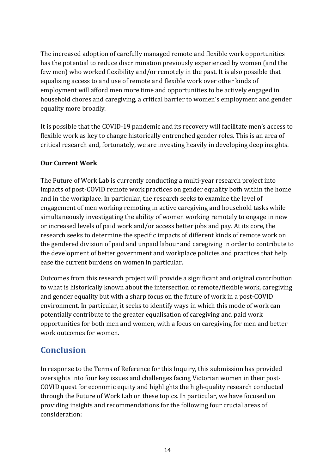The increased adoption of carefully managed remote and flexible work opportunities has the potential to reduce discrimination previously experienced by women (and the few men) who worked flexibility and/or remotely in the past. It is also possible that equalising access to and use of remote and flexible work over other kinds of employment will afford men more time and opportunities to be actively engaged in household chores and caregiving, a critical barrier to women's employment and gender equality more broadly.

It is possible that the COVID-19 pandemic and its recovery will facilitate men's access to flexible work as key to change historically entrenched gender roles. This is an area of critical research and, fortunately, we are investing heavily in developing deep insights.

#### **Our Current Work**

The Future of Work Lab is currently conducting a multi-year research project into impacts of post-COVID remote work practices on gender equality both within the home and in the workplace. In particular, the research seeks to examine the level of engagement of men working remoting in active caregiving and household tasks while simultaneously investigating the ability of women working remotely to engage in new or increased levels of paid work and/or access better jobs and pay. At its core, the research seeks to determine the specific impacts of different kinds of remote work on the gendered division of paid and unpaid labour and caregiving in order to contribute to the development of better government and workplace policies and practices that help ease the current burdens on women in particular.

Outcomes from this research project will provide a significant and original contribution to what is historically known about the intersection of remote/flexible work, caregiving and gender equality but with a sharp focus on the future of work in a post-COVID environment. In particular, it seeks to identify ways in which this mode of work can potentially contribute to the greater equalisation of caregiving and paid work opportunities for both men and women, with a focus on caregiving for men and better work outcomes for women.

### **Conclusion**

In response to the Terms of Reference for this Inquiry, this submission has provided oversights into four key issues and challenges facing Victorian women in their post-COVID quest for economic equity and highlights the high-quality research conducted through the Future of Work Lab on these topics. In particular, we have focused on providing insights and recommendations for the following four crucial areas of consideration: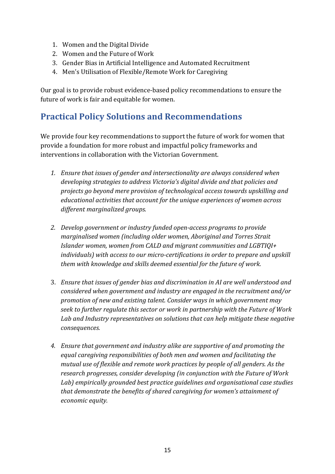- 1. Women and the Digital Divide
- 2. Women and the Future of Work
- 3. Gender Bias in Artificial Intelligence and Automated Recruitment
- 4. Men's Utilisation of Flexible/Remote Work for Caregiving

Our goal is to provide robust evidence-based policy recommendations to ensure the future of work is fair and equitable for women.

### **Practical Policy Solutions and Recommendations**

We provide four key recommendations to support the future of work for women that provide a foundation for more robust and impactful policy frameworks and interventions in collaboration with the Victorian Government.

- *1. Ensure that issues of gender and intersectionality are always considered when developing strategies to address Victoria's digital divide and that policies and projects go beyond mere provision of technological access towards upskilling and educational activities that account for the unique experiences of women across different marginalized groups.*
- *2. Develop government or industry funded open-access programs to provide marginalised women (including older women, Aboriginal and Torres Strait Islander women, women from CALD and migrant communities and LGBTIQI+ individuals) with access to our micro-certifications in order to prepare and upskill them with knowledge and skills deemed essential for the future of work.*
- 3. *Ensure that issues of gender bias and discrimination in AI are well understood and considered when government and industry are engaged in the recruitment and/or promotion of new and existing talent. Consider ways in which government may seek to further regulate this sector or work in partnership with the Future of Work Lab and Industry representatives on solutions that can help mitigate these negative consequences.*
- *4. Ensure that government and industry alike are supportive of and promoting the equal caregiving responsibilities of both men and women and facilitating the mutual use of flexible and remote work practices by people of all genders. As the research progresses, consider developing (in conjunction with the Future of Work Lab) empirically grounded best practice guidelines and organisational case studies that demonstrate the benefits of shared caregiving for women's attainment of economic equity.*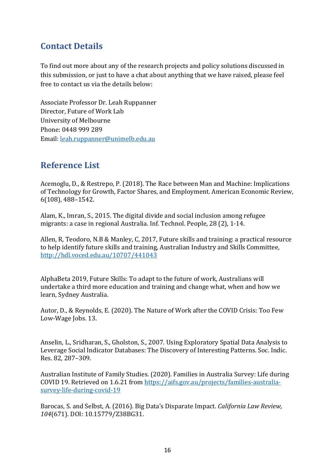### **Contact Details**

To find out more about any of the research projects and policy solutions discussed in this submission, or just to have a chat about anything that we have raised, please feel free to contact us via the details below:

Associate Professor Dr. Leah Ruppanner Director, Future of Work Lab University of Melbourne Phone: 0448 999 289 Email: [leah.ruppanner@unimelb.edu.au](mailto:leah.ruppanner@unimelb.edu.au)

### **Reference List**

Acemoglu, D., & Restrepo, P. (2018). The Race between Man and Machine: Implications of Technology for Growth, Factor Shares, and Employment. American Economic Review, 6(108), 488–1542.

Alam, K., Imran, S., 2015. The digital divide and social inclusion among refugee migrants: a case in regional Australia. Inf. Technol. People, 28 (2), 1-14.

Allen, R, Teodoro, N.B & Manley, C, 2017, Future skills and training: a practical resource to help identify future skills and training, Australian Industry and Skills Committee, <http://hdl.voced.edu.au/10707/441043>

AlphaBeta 2019, Future Skills: To adapt to the future of work, Australians will undertake a third more education and training and change what, when and how we learn, Sydney Australia.

Autor, D., & Reynolds, E. (2020). The Nature of Work after the COVID Crisis: Too Few Low-Wage Jobs. 13.

Anselin, L., Sridharan, S., Gholston, S., 2007. Using Exploratory Spatial Data Analysis to Leverage Social Indicator Databases: The Discovery of Interesting Patterns. Soc. Indic. Res. 82, 287–309.

Australian Institute of Family Studies. (2020). Families in Australia Survey: Life during COVID 19. Retrieved on 1.6.21 from [https://aifs.gov.au/projects/families-australia](https://aifs.gov.au/projects/families-australia-survey-life-during-covid-19)[survey-life-during-covid-19](https://aifs.gov.au/projects/families-australia-survey-life-during-covid-19)

Barocas, S. and Selbst, A. (2016). Big Data's Disparate Impact. *California Law Review, 104*(671). DOI: 10.15779/Z38BG31.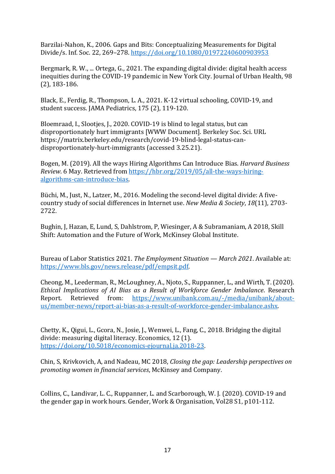Barzilai-Nahon, K., 2006. Gaps and Bits: Conceptualizing Measurements for Digital Divide/s. Inf. Soc. 22, 269–278.<https://doi.org/10.1080/01972240600903953>

Bergmark, R. W., ... Ortega, G., 2021. The expanding digital divide: digital health access inequities during the COVID-19 pandemic in New York City. Journal of Urban Health, 98 (2), 183-186.

Black, E., Ferdig, R., Thompson, L. A., 2021. K-12 virtual schooling, COVID-19, and student success. JAMA Pediatrics, 175 (2), 119-120.

Bloemraad, I., Slootjes, J., 2020. COVID-19 is blind to legal status, but can disproportionately hurt immigrants [WWW Document]. Berkeley Soc. Sci. URL https://matrix.berkeley.edu/research/covid-19-blind-legal-status-candisproportionately-hurt-immigrants (accessed 3.25.21).

Bogen, M. (2019). All the ways Hiring Algorithms Can Introduce Bias. *Harvard Business Review*. 6 May. Retrieved from [https://hbr.org/2019/05/all-the-ways-hiring](https://hbr.org/2019/05/all-the-ways-hiring-algorithms-can-introduce-bias)[algorithms-can-introduce-bias.](https://hbr.org/2019/05/all-the-ways-hiring-algorithms-can-introduce-bias)

Büchi, M., Just, N., Latzer, M., 2016. Modeling the second-level digital divide: A fivecountry study of social differences in Internet use. *New Media & Society*, *18*(11), 2703- 2722.

Bughin, J, Hazan, E, Lund, S, Dahlstrom, P, Wiesinger, A & Subramaniam, A 2018, Skill Shift: Automation and the Future of Work, McKinsey Global Institute.

Bureau of Labor Statistics 2021. *The Employment Situation — March 2021*. Available at: [https://www.bls.gov/news.release/pdf/empsit.pdf.](https://www.bls.gov/news.release/pdf/empsit.pdf)

Cheong, M., Leederman, R., McLoughney, A., Njoto, S., Ruppanner, L., and Wirth, T. (2020). *Ethical Implications of AI Bias as a Result of Workforce Gender Imbalance*. Research Retrieved from: [https://www.unibank.com.au/-/media/unibank/about](https://www.unibank.com.au/-/media/unibank/about-us/member-news/report-ai-bias-as-a-result-of-workforce-gender-imbalance.ashx)[us/member-news/report-ai-bias-as-a-result-of-workforce-gender-imbalance.ashx.](https://www.unibank.com.au/-/media/unibank/about-us/member-news/report-ai-bias-as-a-result-of-workforce-gender-imbalance.ashx)

Chetty, K., Qigui, L., Gcora, N., Josie, J., Wenwei, L., Fang, C., 2018. Bridging the digital divide: measuring digital literacy. Economics, 12 (1). [https://doi.org/10.5018/economics-ejournal.ja.2018-23.](https://doi.org/10.5018/economics-ejournal.ja.2018-23)

Chin, S, Krivkovich, A, and Nadeau, MC 2018, *Closing the gap: Leadership perspectives on promoting women in financial services*, McKinsey and Company.

Collins, C., Landivar, L. C., Ruppanner, L. and Scarborough, W. J. (2020). COVID-19 and the gender gap in work hours. Gender, Work & Organisation, Vol28 S1, p101-112.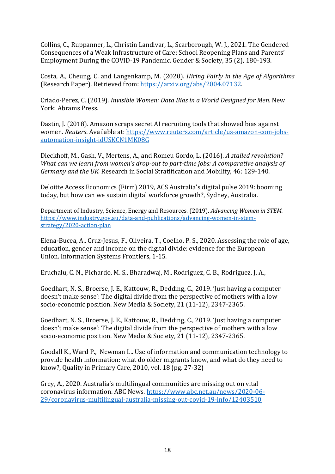Collins, C., Ruppanner, L., Christin Landivar, L., Scarborough, W. J., 2021. The Gendered Consequences of a Weak Infrastructure of Care: School Reopening Plans and Parents' Employment During the COVID-19 Pandemic. Gender & Society, 35 (2), 180-193.

Costa, A., Cheung, C. and Langenkamp, M. (2020). *Hiring Fairly in the Age of Algorithms* (Research Paper). Retrieved from: [https://arxiv.org/abs/2004.07132.](https://arxiv.org/abs/2004.07132)

Criado-Perez, C. (2019). *Invisible Women: Data Bias in a World Designed for Men.* New York: Abrams Press.

Dastin, J. (2018). Amazon scraps secret AI recruiting tools that showed bias against women. *Reuters*. Available at: [https://www.reuters.com/article/us-amazon-com-jobs](https://www.reuters.com/article/us-amazon-com-jobs-automation-insight-idUSKCN1MK08G)[automation-insight-idUSKCN1MK08G](https://www.reuters.com/article/us-amazon-com-jobs-automation-insight-idUSKCN1MK08G)

Dieckhoff, M., Gash, V., Mertens, A., and Romeu Gordo, L. (2016). *A stalled revolution? What can we learn from women's drop-out to part-time jobs: A comparative analysis of Germany and the UK.* Research in Social Stratification and Mobility, 46: 129-140.

Deloitte Access Economics (Firm) 2019, ACS Australia's digital pulse 2019: booming today, but how can we sustain digital workforce growth?, Sydney, Australia.

Department of Industry, Science, Energy and Resources. (2019). *Advancing Women in STEM.*  [https://www.industry.gov.au/data-and-publications/advancing-women-in-stem](https://www.industry.gov.au/data-and-publications/advancing-women-in-stem-strategy/2020-action-plan)[strategy/2020-action-plan](https://www.industry.gov.au/data-and-publications/advancing-women-in-stem-strategy/2020-action-plan)

Elena-Bucea, A., Cruz-Jesus, F., Oliveira, T., Coelho, P. S., 2020. Assessing the role of age, education, gender and income on the digital divide: evidence for the European Union. Information Systems Frontiers, 1-15.

Eruchalu, C. N., Pichardo, M. S., Bharadwaj, M., Rodriguez, C. B., Rodriguez, J. A.,

Goedhart, N. S., Broerse, J. E., Kattouw, R., Dedding, C., 2019. 'Just having a computer doesn't make sense': The digital divide from the perspective of mothers with a low socio-economic position. New Media & Society, 21 (11-12), 2347-2365.

Goedhart, N. S., Broerse, J. E., Kattouw, R., Dedding, C., 2019. 'Just having a computer doesn't make sense': The digital divide from the perspective of mothers with a low socio-economic position. New Media & Society, 21 (11-12), 2347-2365.

Goodall K., Ward P., Newman L.. Use of information and communication technology to provide health information: what do older migrants know, and what do they need to know?, Quality in Primary Care, 2010, vol. 18 (pg. 27-32)

Grey, A., 2020. Australia's multilingual communities are missing out on vital coronavirus information. ABC News. [https://www.abc.net.au/news/2020-06-](https://www.abc.net.au/news/2020-06-29/coronavirus-multilingual-australia-missing-out-covid-19-info/12403510) [29/coronavirus-multilingual-australia-missing-out-covid-19-info/12403510](https://www.abc.net.au/news/2020-06-29/coronavirus-multilingual-australia-missing-out-covid-19-info/12403510)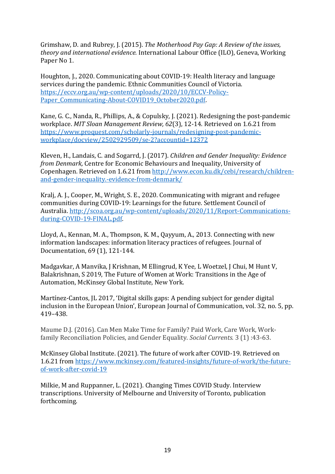Grimshaw, D. and Rubrey, J. (2015). *The Motherhood Pay Gap: A Review of the issues, theory and international evidence.* International Labour Office (ILO), Geneva, Working Paper No 1.

Houghton, J., 2020. Communicating about COVID-19: Health literacy and language services during the pandemic. Ethnic Communities Council of Victoria. [https://eccv.org.au/wp-content/uploads/2020/10/ECCV-Policy-](https://eccv.org.au/wp-content/uploads/2020/10/ECCV-Policy-Paper_Communicating-About-COVID19_October2020.pdf)Paper Communicating-About-COVID19 October2020.pdf.

Kane, G. C., Nanda, R., Phillips, A., & Copulsky, J. (2021). Redesigning the post-pandemic workplace. *MIT Sloan Management Review, 62*(3), 12-14. Retrieved on 1.6.21 from [https://www.proquest.com/scholarly-journals/redesigning-post-pandemic](https://www.proquest.com/scholarly-journals/redesigning-post-pandemic-workplace/docview/2502929509/se-2?accountid=12372)[workplace/docview/2502929509/se-2?accountid=12372](https://www.proquest.com/scholarly-journals/redesigning-post-pandemic-workplace/docview/2502929509/se-2?accountid=12372)

Kleven, H., Landais, C. and Sogarrd, J. (2017). *Children and Gender Inequality: Evidence from Denmark,* Centre for Economic Behaviours and Inequality, University of Copenhagen. Retrieved on 1.6.21 from [http://www.econ.ku.dk/cebi/research/children](http://www.econ.ku.dk/cebi/research/children-and-gender-inequality.-evidence-from-denmark/)[and-gender-inequality.-evidence-from-denmark/](http://www.econ.ku.dk/cebi/research/children-and-gender-inequality.-evidence-from-denmark/)

Kralj, A. J., Cooper, M., Wright, S. E., 2020. Communicating with migrant and refugee communities during COVID-19: Learnings for the future. Settlement Council of Australia[. http://scoa.org.au/wp-content/uploads/2020/11/Report-Communications](http://scoa.org.au/wp-content/uploads/2020/11/Report-Communications-during-COVID-19-FINAL.pdf)[during-COVID-19-FINAL.pdf.](http://scoa.org.au/wp-content/uploads/2020/11/Report-Communications-during-COVID-19-FINAL.pdf)

Lloyd, A., Kennan, M. A., Thompson, K. M., Qayyum, A., 2013. Connecting with new information landscapes: information literacy practices of refugees. Journal of Documentation, 69 (1), 121-144.

Madgavkar, A Manvika, J Krishnan, M Ellingrud, K Yee, L Woetzel, J Chui, M Hunt V, Balakrishnan, S 2019, The Future of Women at Work: Transitions in the Age of Automation, McKinsey Global Institute, New York.

Martínez-Cantos, JL 2017, 'Digital skills gaps: A pending subject for gender digital inclusion in the European Union', European Journal of Communication, vol. 32, no. 5, pp. 419–438.

Maume D.J. (2016). Can Men Make Time for Family? Paid Work, Care Work, Workfamily Reconciliation Policies, and Gender Equality. *Social Currents*. 3 (1) :43-63.

McKinsey Global Institute. (2021). The future of work after COVID-19. Retrieved on 1.6.21 from [https://www.mckinsey.com/featured-insights/future-of-work/the-future](https://www.mckinsey.com/featured-insights/future-of-work/the-future-of-work-after-covid-19)[of-work-after-covid-19](https://www.mckinsey.com/featured-insights/future-of-work/the-future-of-work-after-covid-19)

Milkie, M and Ruppanner, L. (2021). Changing Times COVID Study. Interview transcriptions. University of Melbourne and University of Toronto, publication forthcoming.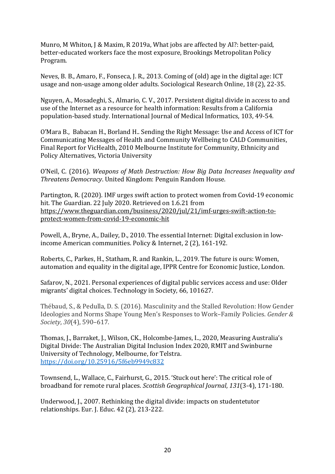Munro, M Whiton, J & Maxim, R 2019a, What jobs are affected by AI?: better-paid, better-educated workers face the most exposure, Brookings Metropolitan Policy Program.

Neves, B. B., Amaro, F., Fonseca, J. R., 2013. Coming of (old) age in the digital age: ICT usage and non-usage among older adults. Sociological Research Online, 18 (2), 22-35.

Nguyen, A., Mosadeghi, S., Almario, C. V., 2017. Persistent digital divide in access to and use of the Internet as a resource for health information: Results from a California population-based study. International Journal of Medical Informatics, 103, 49-54.

O'Mara B., Babacan H., Borland H.. Sending the Right Message: Use and Access of ICT for Communicating Messages of Health and Community Wellbeing to CALD Communities, Final Report for VicHealth, 2010 Melbourne Institute for Community, Ethnicity and Policy Alternatives, Victoria University

O'Neil, C. (2016). *Weapons of Math Destruction: How Big Data Increases Inequality and Threatens Democracy*. United Kingdom: Penguin Random House.

Partington, R. (2020). IMF urges swift action to protect women from Covid-19 economic hit. The Guardian. 22 July 2020. Retrieved on 1.6.21 from [https://www.theguardian.com/business/2020/jul/21/imf-urges-swift-action-to](https://www.theguardian.com/business/2020/jul/21/imf-urges-swift-action-to-protect-women-from-covid-19-economic-hit)[protect-women-from-covid-19-economic-hit](https://www.theguardian.com/business/2020/jul/21/imf-urges-swift-action-to-protect-women-from-covid-19-economic-hit)

Powell, A., Bryne, A., Dailey, D., 2010. The essential Internet: Digital exclusion in lowincome American communities. Policy & Internet, 2 (2), 161-192.

Roberts, C., Parkes, H., Statham, R. and Rankin, L., 2019. The future is ours: Women, automation and equality in the digital age, IPPR Centre for Economic Justice, London.

Safarov, N., 2021. Personal experiences of digital public services access and use: Older migrants' digital choices. Technology in Society, 66, 101627.

Thébaud, S., & Pedulla, D. S. (2016). Masculinity and the Stalled Revolution: How Gender Ideologies and Norms Shape Young Men's Responses to Work–Family Policies. *Gender & Society*, *30*(4), 590–617.

Thomas, J., Barraket, J., Wilson, CK., Holcombe-James, I.., 2020, Measuring Australia's Digital Divide: The Australian Digital Inclusion Index 2020, RMIT and Swinburne University of Technology, Melbourne, for Telstra. <https://doi.org/10.25916/5f6eb9949c832>

Townsend, L., Wallace, C., Fairhurst, G., 2015. 'Stuck out here': The critical role of broadband for remote rural places. *Scottish Geographical Journal*, *131*(3-4), 171-180.

Underwood, J., 2007. Rethinking the digital divide: impacts on studentetutor relationships. Eur. J. Educ. 42 (2), 213-222.